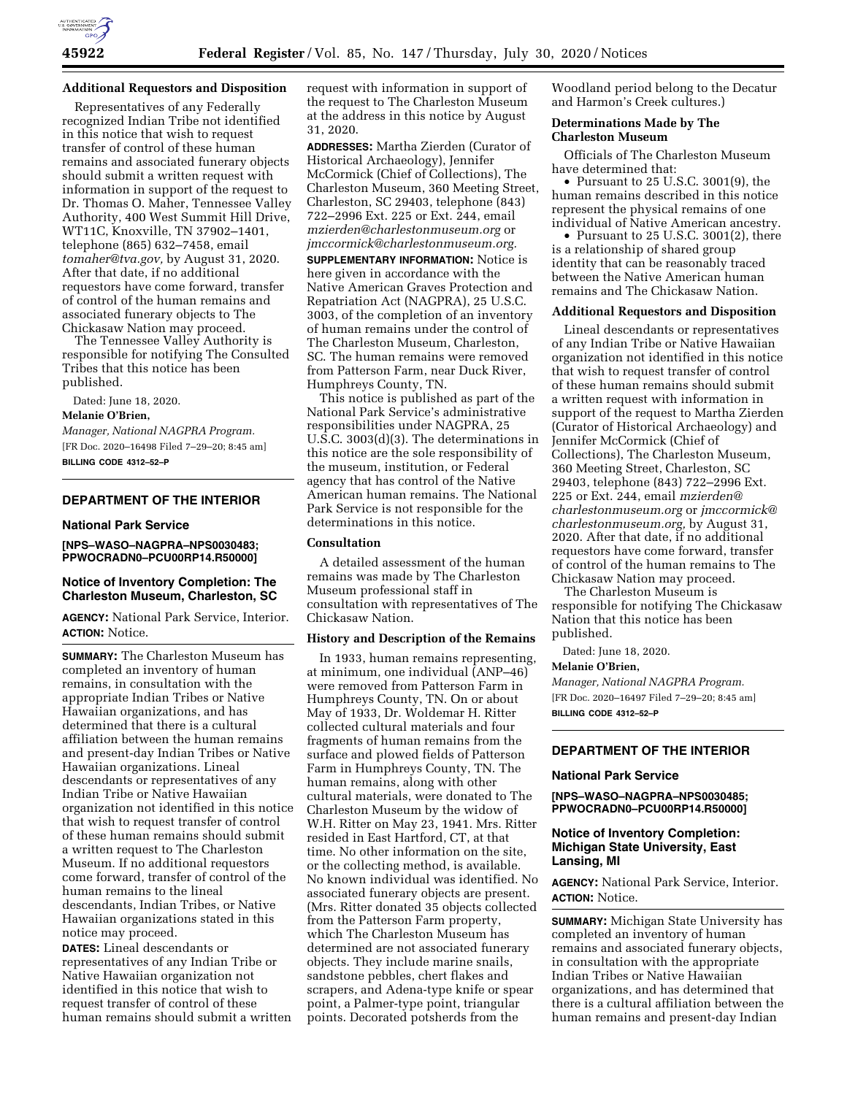

# **Additional Requestors and Disposition**

Representatives of any Federally recognized Indian Tribe not identified in this notice that wish to request transfer of control of these human remains and associated funerary objects should submit a written request with information in support of the request to Dr. Thomas O. Maher, Tennessee Valley Authority, 400 West Summit Hill Drive, WT11C, Knoxville, TN 37902–1401, telephone (865) 632–7458, email *[tomaher@tva.gov,](mailto:tomaher@tva.gov)* by August 31, 2020. After that date, if no additional requestors have come forward, transfer of control of the human remains and associated funerary objects to The Chickasaw Nation may proceed.

The Tennessee Valley Authority is responsible for notifying The Consulted Tribes that this notice has been published.

Dated: June 18, 2020.

#### **Melanie O'Brien,**

*Manager, National NAGPRA Program.*  [FR Doc. 2020–16498 Filed 7–29–20; 8:45 am] **BILLING CODE 4312–52–P** 

# **DEPARTMENT OF THE INTERIOR**

### **National Park Service**

**[NPS–WASO–NAGPRA–NPS0030483; PPWOCRADN0–PCU00RP14.R50000]** 

# **Notice of Inventory Completion: The Charleston Museum, Charleston, SC**

**AGENCY:** National Park Service, Interior. **ACTION:** Notice.

**SUMMARY:** The Charleston Museum has completed an inventory of human remains, in consultation with the appropriate Indian Tribes or Native Hawaiian organizations, and has determined that there is a cultural affiliation between the human remains and present-day Indian Tribes or Native Hawaiian organizations. Lineal descendants or representatives of any Indian Tribe or Native Hawaiian organization not identified in this notice that wish to request transfer of control of these human remains should submit a written request to The Charleston Museum. If no additional requestors come forward, transfer of control of the human remains to the lineal descendants, Indian Tribes, or Native Hawaiian organizations stated in this notice may proceed.

**DATES:** Lineal descendants or representatives of any Indian Tribe or Native Hawaiian organization not identified in this notice that wish to request transfer of control of these human remains should submit a written request with information in support of the request to The Charleston Museum at the address in this notice by August 31, 2020.

**ADDRESSES:** Martha Zierden (Curator of Historical Archaeology), Jennifer McCormick (Chief of Collections), The Charleston Museum, 360 Meeting Street, Charleston, SC 29403, telephone (843) 722–2996 Ext. 225 or Ext. 244, email *[mzierden@charlestonmuseum.org](mailto:mzierden@charlestonmuseum.org)* or *[jmccormick@charlestonmuseum.org.](mailto:jmccormick@charlestonmuseum.org)* 

**SUPPLEMENTARY INFORMATION:** Notice is here given in accordance with the Native American Graves Protection and Repatriation Act (NAGPRA), 25 U.S.C. 3003, of the completion of an inventory of human remains under the control of The Charleston Museum, Charleston, SC. The human remains were removed from Patterson Farm, near Duck River, Humphreys County, TN.

This notice is published as part of the National Park Service's administrative responsibilities under NAGPRA, 25 U.S.C. 3003(d)(3). The determinations in this notice are the sole responsibility of the museum, institution, or Federal agency that has control of the Native American human remains. The National Park Service is not responsible for the determinations in this notice.

# **Consultation**

A detailed assessment of the human remains was made by The Charleston Museum professional staff in consultation with representatives of The Chickasaw Nation.

#### **History and Description of the Remains**

In 1933, human remains representing, at minimum, one individual (ANP–46) were removed from Patterson Farm in Humphreys County, TN. On or about May of 1933, Dr. Woldemar H. Ritter collected cultural materials and four fragments of human remains from the surface and plowed fields of Patterson Farm in Humphreys County, TN. The human remains, along with other cultural materials, were donated to The Charleston Museum by the widow of W.H. Ritter on May 23, 1941. Mrs. Ritter resided in East Hartford, CT, at that time. No other information on the site, or the collecting method, is available. No known individual was identified. No associated funerary objects are present. (Mrs. Ritter donated 35 objects collected from the Patterson Farm property, which The Charleston Museum has determined are not associated funerary objects. They include marine snails, sandstone pebbles, chert flakes and scrapers, and Adena-type knife or spear point, a Palmer-type point, triangular points. Decorated potsherds from the

Woodland period belong to the Decatur and Harmon's Creek cultures.)

#### **Determinations Made by The Charleston Museum**

Officials of The Charleston Museum have determined that:

• Pursuant to 25 U.S.C. 3001(9), the human remains described in this notice represent the physical remains of one individual of Native American ancestry.

• Pursuant to 25 U.S.C. 3001(2), there is a relationship of shared group identity that can be reasonably traced between the Native American human remains and The Chickasaw Nation.

### **Additional Requestors and Disposition**

Lineal descendants or representatives of any Indian Tribe or Native Hawaiian organization not identified in this notice that wish to request transfer of control of these human remains should submit a written request with information in support of the request to Martha Zierden (Curator of Historical Archaeology) and Jennifer McCormick (Chief of Collections), The Charleston Museum, 360 Meeting Street, Charleston, SC 29403, telephone (843) 722–2996 Ext. 225 or Ext. 244, email *[mzierden@](mailto:mzierden@charlestonmuseum.org) [charlestonmuseum.org](mailto:mzierden@charlestonmuseum.org)* or *[jmccormick@](mailto:jmccormick@charlestonmuseum.org) [charlestonmuseum.org,](mailto:jmccormick@charlestonmuseum.org)* by August 31, 2020. After that date, if no additional requestors have come forward, transfer of control of the human remains to The Chickasaw Nation may proceed.

The Charleston Museum is responsible for notifying The Chickasaw Nation that this notice has been published.

Dated: June 18, 2020.

### **Melanie O'Brien,**

*Manager, National NAGPRA Program.*  [FR Doc. 2020–16497 Filed 7–29–20; 8:45 am] **BILLING CODE 4312–52–P** 

# **DEPARTMENT OF THE INTERIOR**

#### **National Park Service**

**[NPS–WASO–NAGPRA–NPS0030485; PPWOCRADN0–PCU00RP14.R50000]** 

### **Notice of Inventory Completion: Michigan State University, East Lansing, MI**

**AGENCY:** National Park Service, Interior. **ACTION:** Notice.

**SUMMARY:** Michigan State University has completed an inventory of human remains and associated funerary objects, in consultation with the appropriate Indian Tribes or Native Hawaiian organizations, and has determined that there is a cultural affiliation between the human remains and present-day Indian